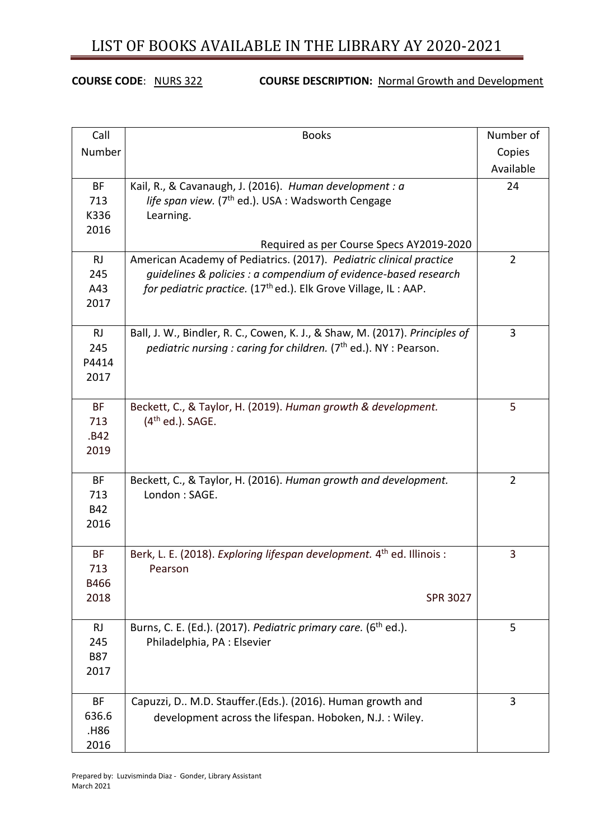### **COURSE CODE**: NURS 322 **COURSE DESCRIPTION:** Normal Growth and Development

| Call       | <b>Books</b>                                                                         | Number of      |
|------------|--------------------------------------------------------------------------------------|----------------|
| Number     |                                                                                      | Copies         |
|            |                                                                                      | Available      |
| <b>BF</b>  | Kail, R., & Cavanaugh, J. (2016). Human development : a                              | 24             |
| 713        | life span view. (7 <sup>th</sup> ed.). USA : Wadsworth Cengage                       |                |
| K336       | Learning.                                                                            |                |
| 2016       |                                                                                      |                |
|            | Required as per Course Specs AY2019-2020                                             |                |
| <b>RJ</b>  | American Academy of Pediatrics. (2017). Pediatric clinical practice                  | $\overline{2}$ |
| 245        | guidelines & policies : a compendium of evidence-based research                      |                |
| A43        | for pediatric practice. (17 <sup>th</sup> ed.). Elk Grove Village, IL : AAP.         |                |
| 2017       |                                                                                      |                |
| RJ         | Ball, J. W., Bindler, R. C., Cowen, K. J., & Shaw, M. (2017). Principles of          | 3              |
| 245        | <i>pediatric nursing : caring for children.</i> (7 <sup>th</sup> ed.). NY : Pearson. |                |
| P4414      |                                                                                      |                |
| 2017       |                                                                                      |                |
|            |                                                                                      |                |
| <b>BF</b>  | Beckett, C., & Taylor, H. (2019). Human growth & development.                        | 5              |
| 713        | $(4th$ ed.). SAGE.                                                                   |                |
| .B42       |                                                                                      |                |
| 2019       |                                                                                      |                |
|            |                                                                                      |                |
| <b>BF</b>  | Beckett, C., & Taylor, H. (2016). Human growth and development.                      | $\overline{2}$ |
| 713        | London: SAGE.                                                                        |                |
| <b>B42</b> |                                                                                      |                |
| 2016       |                                                                                      |                |
| <b>BF</b>  | Berk, L. E. (2018). Exploring lifespan development. 4 <sup>th</sup> ed. Illinois :   | 3              |
| 713        | Pearson                                                                              |                |
| B466       |                                                                                      |                |
| 2018       | <b>SPR 3027</b>                                                                      |                |
|            |                                                                                      |                |
| <b>RJ</b>  | Burns, C. E. (Ed.). (2017). Pediatric primary care. (6 <sup>th</sup> ed.).           | 5              |
| 245        | Philadelphia, PA: Elsevier                                                           |                |
| <b>B87</b> |                                                                                      |                |
| 2017       |                                                                                      |                |
| <b>BF</b>  | Capuzzi, D M.D. Stauffer.(Eds.). (2016). Human growth and                            | 3              |
| 636.6      | development across the lifespan. Hoboken, N.J.: Wiley.                               |                |
| .H86       |                                                                                      |                |
| 2016       |                                                                                      |                |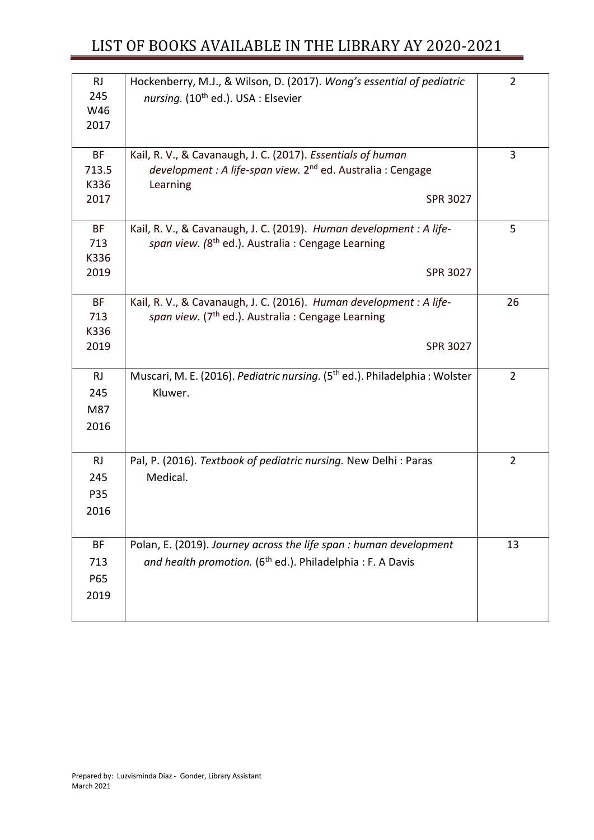| <b>RJ</b><br>245 | Hockenberry, M.J., & Wilson, D. (2017). Wong's essential of pediatric                  | $\overline{2}$ |
|------------------|----------------------------------------------------------------------------------------|----------------|
| W46              | nursing. (10 <sup>th</sup> ed.). USA : Elsevier                                        |                |
| 2017             |                                                                                        |                |
|                  |                                                                                        |                |
| <b>BF</b>        | Kail, R. V., & Cavanaugh, J. C. (2017). Essentials of human                            | 3              |
| 713.5            | development : A life-span view. 2 <sup>nd</sup> ed. Australia : Cengage                |                |
| K336             | Learning                                                                               |                |
| 2017             | <b>SPR 3027</b>                                                                        |                |
| <b>BF</b>        | Kail, R. V., & Cavanaugh, J. C. (2019). Human development : A life-                    | 5              |
| 713              | span view. (8 <sup>th</sup> ed.). Australia : Cengage Learning                         |                |
| K336             |                                                                                        |                |
| 2019             | <b>SPR 3027</b>                                                                        |                |
| <b>BF</b>        | Kail, R. V., & Cavanaugh, J. C. (2016). Human development : A life-                    | 26             |
| 713              | span view. (7 <sup>th</sup> ed.). Australia: Cengage Learning                          |                |
| K336             |                                                                                        |                |
| 2019             | <b>SPR 3027</b>                                                                        |                |
|                  |                                                                                        |                |
| <b>RJ</b>        | Muscari, M. E. (2016). Pediatric nursing. (5 <sup>th</sup> ed.). Philadelphia: Wolster | $\overline{2}$ |
| 245              | Kluwer.                                                                                |                |
| M87              |                                                                                        |                |
| 2016             |                                                                                        |                |
|                  |                                                                                        |                |
| RJ               | Pal, P. (2016). Textbook of pediatric nursing. New Delhi: Paras                        | $\overline{2}$ |
| 245              | Medical.                                                                               |                |
| P35              |                                                                                        |                |
| 2016             |                                                                                        |                |
|                  |                                                                                        |                |
| <b>BF</b>        | Polan, E. (2019). Journey across the life span : human development                     | 13             |
| 713              | and health promotion. (6 <sup>th</sup> ed.). Philadelphia: F. A Davis                  |                |
| P65              |                                                                                        |                |
| 2019             |                                                                                        |                |
|                  |                                                                                        |                |
|                  |                                                                                        |                |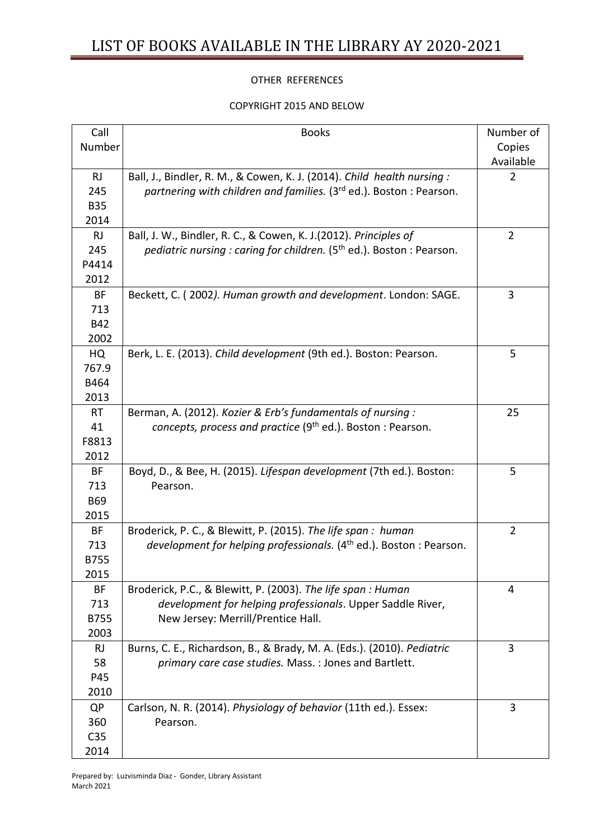#### OTHER REFERENCES

#### COPYRIGHT 2015 AND BELOW

| Call            | <b>Books</b>                                                                    | Number of      |
|-----------------|---------------------------------------------------------------------------------|----------------|
| Number          |                                                                                 | Copies         |
|                 |                                                                                 | Available      |
| <b>RJ</b>       | Ball, J., Bindler, R. M., & Cowen, K. J. (2014). Child health nursing:          | 2              |
| 245             | partnering with children and families. (3 <sup>rd</sup> ed.). Boston: Pearson.  |                |
| <b>B35</b>      |                                                                                 |                |
| 2014            |                                                                                 |                |
| <b>RJ</b>       | Ball, J. W., Bindler, R. C., & Cowen, K. J.(2012). Principles of                | $\overline{2}$ |
| 245             | pediatric nursing: caring for children. (5 <sup>th</sup> ed.). Boston: Pearson. |                |
| P4414           |                                                                                 |                |
| 2012            |                                                                                 |                |
| <b>BF</b>       | Beckett, C. (2002). Human growth and development. London: SAGE.                 | 3              |
| 713             |                                                                                 |                |
| <b>B42</b>      |                                                                                 |                |
| 2002            |                                                                                 |                |
| HQ              | Berk, L. E. (2013). Child development (9th ed.). Boston: Pearson.               | 5              |
| 767.9           |                                                                                 |                |
| B464            |                                                                                 |                |
| 2013            |                                                                                 |                |
| <b>RT</b>       | Berman, A. (2012). Kozier & Erb's fundamentals of nursing:                      | 25             |
| 41              | concepts, process and practice (9 <sup>th</sup> ed.). Boston: Pearson.          |                |
| F8813           |                                                                                 |                |
| 2012            |                                                                                 |                |
| <b>BF</b>       | Boyd, D., & Bee, H. (2015). Lifespan development (7th ed.). Boston:             | 5              |
| 713             | Pearson.                                                                        |                |
| <b>B69</b>      |                                                                                 |                |
| 2015            |                                                                                 |                |
| <b>BF</b>       | Broderick, P. C., & Blewitt, P. (2015). The life span: human                    | $\overline{2}$ |
| 713             | development for helping professionals. (4 <sup>th</sup> ed.). Boston : Pearson. |                |
| <b>B755</b>     |                                                                                 |                |
| 2015            |                                                                                 |                |
| BF              | Broderick, P.C., & Blewitt, P. (2003). The life span: Human                     | 4              |
| 713             | development for helping professionals. Upper Saddle River,                      |                |
| <b>B755</b>     | New Jersey: Merrill/Prentice Hall.                                              |                |
| 2003            |                                                                                 |                |
| <b>RJ</b>       | Burns, C. E., Richardson, B., & Brady, M. A. (Eds.). (2010). Pediatric          | 3              |
| 58              | primary care case studies. Mass. : Jones and Bartlett.                          |                |
| P45             |                                                                                 |                |
| 2010            |                                                                                 |                |
| QP              | Carlson, N. R. (2014). Physiology of behavior (11th ed.). Essex:                | 3              |
| 360             | Pearson.                                                                        |                |
| C <sub>35</sub> |                                                                                 |                |
| 2014            |                                                                                 |                |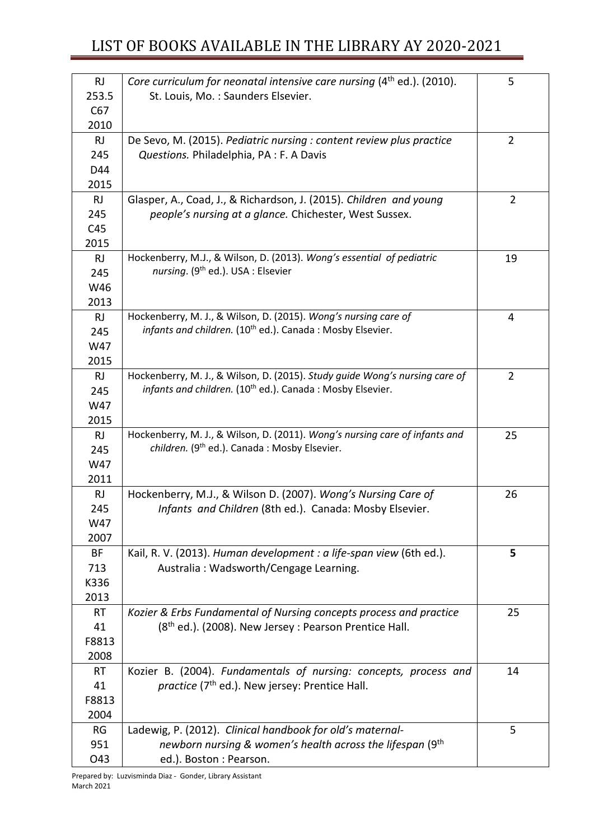| <b>RJ</b>         | Core curriculum for neonatal intensive care nursing (4 <sup>th</sup> ed.). (2010). | 5              |
|-------------------|------------------------------------------------------------------------------------|----------------|
| 253.5             | St. Louis, Mo.: Saunders Elsevier.                                                 |                |
| C67               |                                                                                    |                |
| 2010              |                                                                                    |                |
| <b>RJ</b>         | De Sevo, M. (2015). Pediatric nursing : content review plus practice               | $\overline{2}$ |
| 245               | Questions. Philadelphia, PA: F. A Davis                                            |                |
| D44               |                                                                                    |                |
| 2015<br><b>RJ</b> | Glasper, A., Coad, J., & Richardson, J. (2015). Children and young                 | $\overline{2}$ |
| 245               | people's nursing at a glance. Chichester, West Sussex.                             |                |
| C45               |                                                                                    |                |
| 2015              |                                                                                    |                |
| <b>RJ</b>         | Hockenberry, M.J., & Wilson, D. (2013). Wong's essential of pediatric              | 19             |
| 245               | nursing. (9 <sup>th</sup> ed.). USA : Elsevier                                     |                |
| W46               |                                                                                    |                |
| 2013              |                                                                                    |                |
| <b>RJ</b>         | Hockenberry, M. J., & Wilson, D. (2015). Wong's nursing care of                    | 4              |
| 245               | infants and children. (10 <sup>th</sup> ed.). Canada: Mosby Elsevier.              |                |
| W47               |                                                                                    |                |
| 2015              |                                                                                    |                |
| <b>RJ</b>         | Hockenberry, M. J., & Wilson, D. (2015). Study guide Wong's nursing care of        | $\overline{2}$ |
| 245               | infants and children. (10 <sup>th</sup> ed.). Canada: Mosby Elsevier.              |                |
| W47               |                                                                                    |                |
| 2015              |                                                                                    |                |
| <b>RJ</b>         | Hockenberry, M. J., & Wilson, D. (2011). Wong's nursing care of infants and        | 25             |
| 245               | children. (9 <sup>th</sup> ed.). Canada: Mosby Elsevier.                           |                |
| W47               |                                                                                    |                |
| 2011              |                                                                                    |                |
| <b>RJ</b>         | Hockenberry, M.J., & Wilson D. (2007). Wong's Nursing Care of                      | 26             |
| 245<br>W47        | Infants and Children (8th ed.). Canada: Mosby Elsevier.                            |                |
| 2007              |                                                                                    |                |
| <b>BF</b>         | Kail, R. V. (2013). Human development : a life-span view (6th ed.).                | 5              |
| 713               | Australia: Wadsworth/Cengage Learning.                                             |                |
| K336              |                                                                                    |                |
| 2013              |                                                                                    |                |
| <b>RT</b>         | Kozier & Erbs Fundamental of Nursing concepts process and practice                 | 25             |
| 41                | (8 <sup>th</sup> ed.). (2008). New Jersey: Pearson Prentice Hall.                  |                |
| F8813             |                                                                                    |                |
| 2008              |                                                                                    |                |
| <b>RT</b>         | Kozier B. (2004). Fundamentals of nursing: concepts, process and                   | 14             |
| 41                | practice (7 <sup>th</sup> ed.). New jersey: Prentice Hall.                         |                |
| F8813             |                                                                                    |                |
| 2004              |                                                                                    |                |
| RG                | Ladewig, P. (2012). Clinical handbook for old's maternal-                          | 5              |
| 951               | newborn nursing & women's health across the lifespan (9 <sup>th</sup>              |                |
| O43               | ed.). Boston : Pearson.                                                            |                |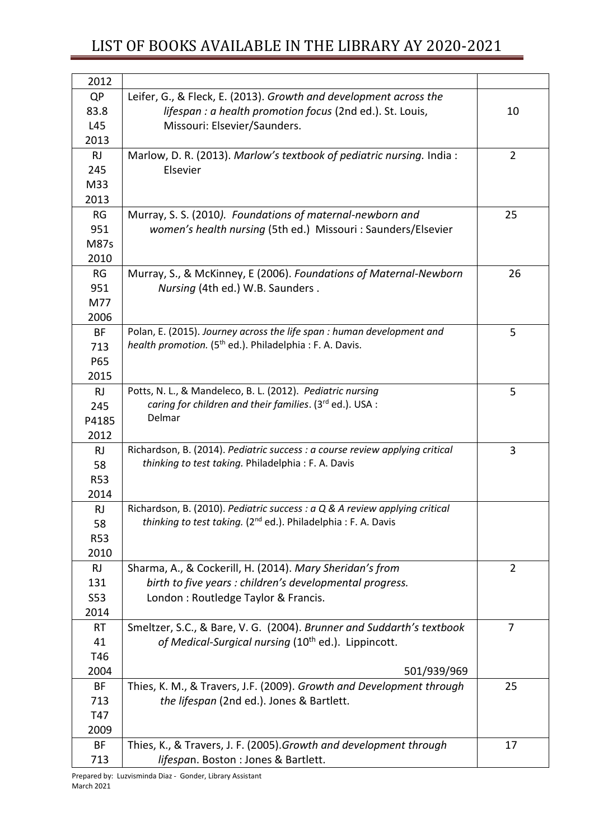| 2012               |                                                                                                                                                          |                |
|--------------------|----------------------------------------------------------------------------------------------------------------------------------------------------------|----------------|
| QP                 | Leifer, G., & Fleck, E. (2013). Growth and development across the                                                                                        |                |
| 83.8               | lifespan : a health promotion focus (2nd ed.). St. Louis,                                                                                                | 10             |
| L45                | Missouri: Elsevier/Saunders.                                                                                                                             |                |
| 2013               |                                                                                                                                                          |                |
| <b>RJ</b>          | Marlow, D. R. (2013). Marlow's textbook of pediatric nursing. India:                                                                                     | $\overline{2}$ |
| 245                | Elsevier                                                                                                                                                 |                |
| M33                |                                                                                                                                                          |                |
| 2013               |                                                                                                                                                          |                |
| RG                 | Murray, S. S. (2010). Foundations of maternal-newborn and                                                                                                | 25             |
| 951                | women's health nursing (5th ed.) Missouri : Saunders/Elsevier                                                                                            |                |
| <b>M87s</b>        |                                                                                                                                                          |                |
| 2010               |                                                                                                                                                          |                |
| RG                 | Murray, S., & McKinney, E (2006). Foundations of Maternal-Newborn                                                                                        | 26             |
| 951                | Nursing (4th ed.) W.B. Saunders.                                                                                                                         |                |
| M77                |                                                                                                                                                          |                |
| 2006               |                                                                                                                                                          |                |
| BF                 | Polan, E. (2015). Journey across the life span : human development and                                                                                   | 5              |
| 713                | health promotion. (5 <sup>th</sup> ed.). Philadelphia : F. A. Davis.                                                                                     |                |
| P65                |                                                                                                                                                          |                |
| 2015               |                                                                                                                                                          |                |
| <b>RJ</b>          | Potts, N. L., & Mandeleco, B. L. (2012). Pediatric nursing                                                                                               | 5              |
| 245                | caring for children and their families. (3rd ed.). USA :                                                                                                 |                |
| P4185              | Delmar                                                                                                                                                   |                |
| 2012               |                                                                                                                                                          |                |
| <b>RJ</b>          | Richardson, B. (2014). Pediatric success : a course review applying critical                                                                             | 3              |
| 58                 | thinking to test taking. Philadelphia: F. A. Davis                                                                                                       |                |
| <b>R53</b>         |                                                                                                                                                          |                |
| 2014               |                                                                                                                                                          |                |
| <b>RJ</b>          | Richardson, B. (2010). Pediatric success : a Q & A review applying critical<br>thinking to test taking. (2 <sup>nd</sup> ed.). Philadelphia: F. A. Davis |                |
| 58                 |                                                                                                                                                          |                |
| <b>R53</b><br>2010 |                                                                                                                                                          |                |
| <b>RJ</b>          | Sharma, A., & Cockerill, H. (2014). Mary Sheridan's from                                                                                                 | $\overline{2}$ |
| 131                | birth to five years : children's developmental progress.                                                                                                 |                |
| S53                | London: Routledge Taylor & Francis.                                                                                                                      |                |
| 2014               |                                                                                                                                                          |                |
| <b>RT</b>          | Smeltzer, S.C., & Bare, V. G. (2004). Brunner and Suddarth's textbook                                                                                    | $\overline{7}$ |
| 41                 | of Medical-Surgical nursing (10 <sup>th</sup> ed.). Lippincott.                                                                                          |                |
| T46                |                                                                                                                                                          |                |
| 2004               | 501/939/969                                                                                                                                              |                |
| BF                 | Thies, K. M., & Travers, J.F. (2009). Growth and Development through                                                                                     | 25             |
| 713                | the lifespan (2nd ed.). Jones & Bartlett.                                                                                                                |                |
| T47                |                                                                                                                                                          |                |
| 2009               |                                                                                                                                                          |                |
| BF                 | Thies, K., & Travers, J. F. (2005). Growth and development through                                                                                       | 17             |
| 713                | lifespan. Boston : Jones & Bartlett.                                                                                                                     |                |